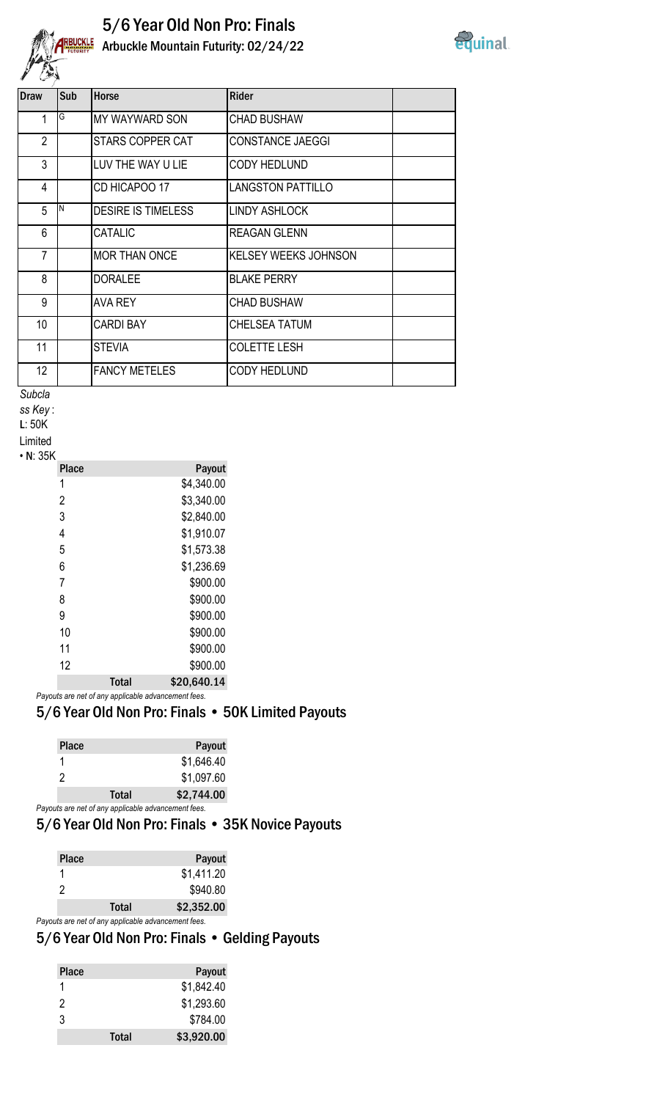

## 5/6 Year Old Non Pro: Finals REUCKLE Arbuckle Mountain Futurity: 02/24/22



| <b>Draw</b>     | Sub | <b>Horse</b>              | <b>Rider</b>                |
|-----------------|-----|---------------------------|-----------------------------|
| 1               | G   | <b>MY WAYWARD SON</b>     | <b>CHAD BUSHAW</b>          |
| $\overline{2}$  |     | STARS COPPER CAT          | <b>CONSTANCE JAEGGI</b>     |
| 3               |     | LUV THE WAY U LIE         | <b>CODY HEDLUND</b>         |
| 4               |     | CD HICAPOO 17             | <b>LANGSTON PATTILLO</b>    |
| 5               | IΝ  | <b>DESIRE IS TIMELESS</b> | <b>LINDY ASHLOCK</b>        |
| 6               |     | <b>CATALIC</b>            | <b>REAGAN GLENN</b>         |
| $\overline{7}$  |     | <b>MOR THAN ONCE</b>      | <b>KELSEY WEEKS JOHNSON</b> |
| 8               |     | <b>DORALEE</b>            | <b>BLAKE PERRY</b>          |
| 9               |     | <b>AVA REY</b>            | <b>CHAD BUSHAW</b>          |
| 10 <sup>°</sup> |     | <b>CARDI BAY</b>          | CHELSEA TATUM               |
| 11              |     | <b>STEVIA</b>             | <b>COLETTE LESH</b>         |
| 12 <sup>°</sup> |     | <b>FANCY METELES</b>      | CODY HEDLUND                |
|                 |     |                           |                             |

*Subcla*

*ss Key* :

L: 50K

Limited • N: 35K

|       | Payout      |
|-------|-------------|
|       | \$4,340.00  |
|       | \$3,340.00  |
|       | \$2,840.00  |
|       | \$1,910.07  |
|       | \$1,573.38  |
|       | \$1,236.69  |
|       | \$900.00    |
|       | \$900.00    |
|       | \$900.00    |
|       | \$900.00    |
|       | \$900.00    |
|       | \$900.00    |
| Total | \$20,640.14 |
|       |             |

*Payouts are net of any applicable advancement fees.*

## 5/6 Year Old Non Pro: Finals • 50K Limited Payouts

| <b>Place</b> |              | Payout                                              |
|--------------|--------------|-----------------------------------------------------|
|              |              | \$1,646.40                                          |
| 2            |              | \$1,097.60                                          |
|              | <b>Total</b> | \$2,744.00                                          |
|              |              | Payouts are net of any applicable advancement fees. |

## 5/6 Year Old Non Pro: Finals • 35K Novice Payouts

| <b>Place</b> |                                                     | Payout     |
|--------------|-----------------------------------------------------|------------|
|              |                                                     | \$1,411.20 |
| 2            |                                                     | \$940.80   |
|              | <b>Total</b>                                        | \$2,352.00 |
|              | Payouts are net of any applicable advancement fees. |            |

## 5/6 Year Old Non Pro: Finals • Gelding Payouts

| <b>Place</b> |              | Payout     |
|--------------|--------------|------------|
|              |              | \$1,842.40 |
| 2            |              | \$1,293.60 |
| 3            |              | \$784.00   |
|              | <b>Total</b> | \$3,920.00 |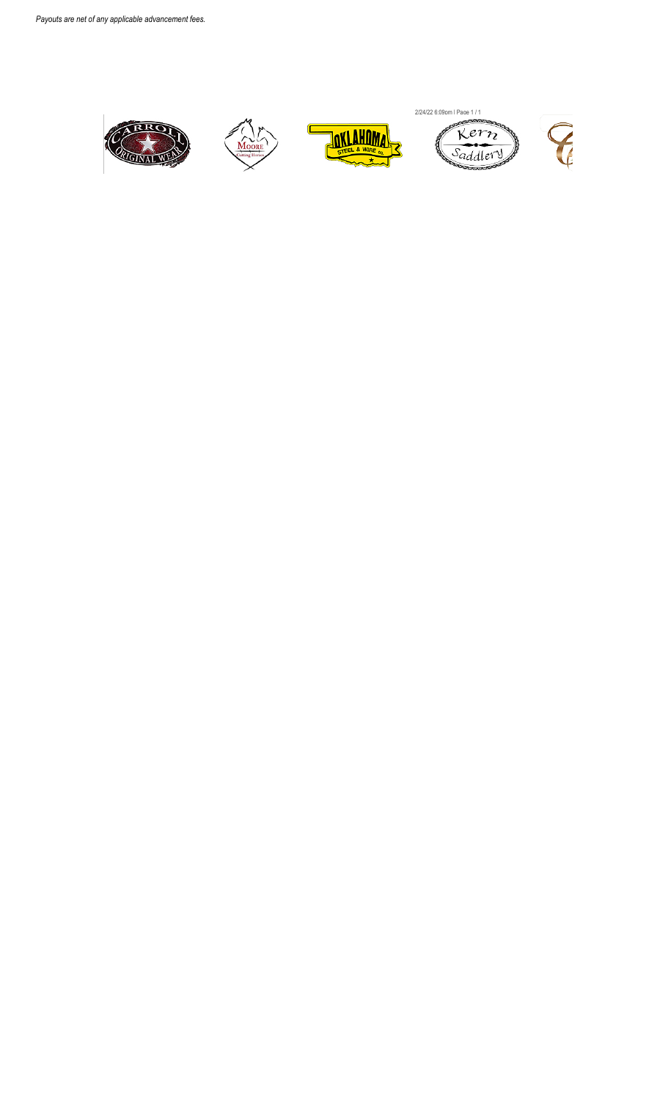





2/24/22 6:09pm | Page 1 / 1